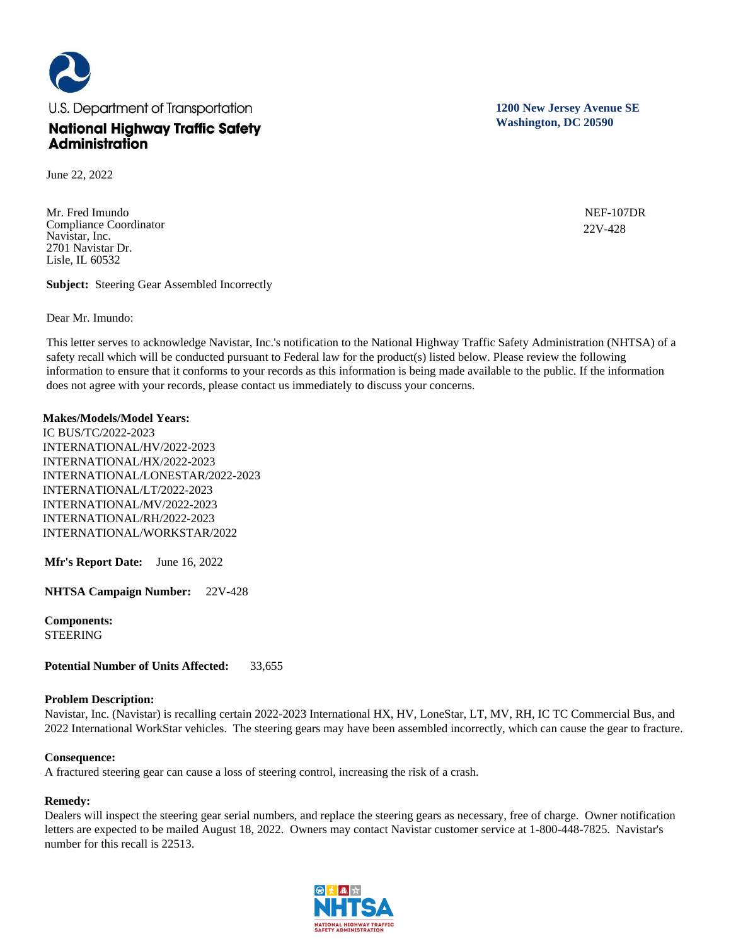

June 22, 2022

Mr. Fred Imundo Compliance Coordinator Navistar, Inc. 2701 Navistar Dr. Lisle, IL 60532

**Subject:** Steering Gear Assembled Incorrectly

Dear Mr. Imundo:

This letter serves to acknowledge Navistar, Inc.'s notification to the National Highway Traffic Safety Administration (NHTSA) of a safety recall which will be conducted pursuant to Federal law for the product(s) listed below. Please review the following information to ensure that it conforms to your records as this information is being made available to the public. If the information does not agree with your records, please contact us immediately to discuss your concerns.

#### **Makes/Models/Model Years:**

IC BUS/TC/2022-2023 INTERNATIONAL/HV/2022-2023 INTERNATIONAL/HX/2022-2023 INTERNATIONAL/LONESTAR/2022-2023 INTERNATIONAL/LT/2022-2023 INTERNATIONAL/MV/2022-2023 INTERNATIONAL/RH/2022-2023 INTERNATIONAL/WORKSTAR/2022

**Mfr's Report Date:** June 16, 2022

**NHTSA Campaign Number:** 22V-428

**Components:**  STEERING

**Potential Number of Units Affected:** 33,655

# **Problem Description:**

Navistar, Inc. (Navistar) is recalling certain 2022-2023 International HX, HV, LoneStar, LT, MV, RH, IC TC Commercial Bus, and 2022 International WorkStar vehicles. The steering gears may have been assembled incorrectly, which can cause the gear to fracture.

#### **Consequence:**

A fractured steering gear can cause a loss of steering control, increasing the risk of a crash.

# **Remedy:**

Dealers will inspect the steering gear serial numbers, and replace the steering gears as necessary, free of charge. Owner notification letters are expected to be mailed August 18, 2022. Owners may contact Navistar customer service at 1-800-448-7825. Navistar's number for this recall is 22513.

**1200 New Jersey Avenue SE Washington, DC 20590**

> NEF-107DR 22V-428